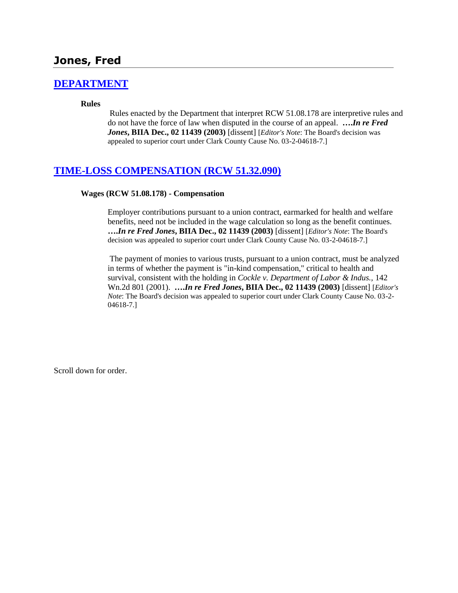# **Jones, Fred**

### **[DEPARTMENT](http://www.biia.wa.gov/SDSubjectIndex.html#DEPARTMENT)**

#### **Rules**

Rules enacted by the Department that interpret RCW 51.08.178 are interpretive rules and do not have the force of law when disputed in the course of an appeal. **….***In re Fred Jones***, BIIA Dec., 02 11439 (2003)** [dissent] [*Editor's Note*: The Board's decision was appealed to superior court under Clark County Cause No. 03-2-04618-7.]

#### **[TIME-LOSS COMPENSATION \(RCW 51.32.090\)](http://www.biia.wa.gov/SDSubjectIndex.html#TIME_LOSS_COMPENSATION)**

#### **Wages (RCW 51.08.178) - Compensation**

Employer contributions pursuant to a union contract, earmarked for health and welfare benefits, need not be included in the wage calculation so long as the benefit continues. **….***In re Fred Jones***, BIIA Dec., 02 11439 (2003)** [dissent] [*Editor's Note*: The Board's decision was appealed to superior court under Clark County Cause No. 03-2-04618-7.]

The payment of monies to various trusts, pursuant to a union contract, must be analyzed in terms of whether the payment is "in-kind compensation," critical to health and survival, consistent with the holding in *Cockle v. Department of Labor & Indus.,* 142 Wn.2d 801 (2001). **….***In re Fred Jones***, BIIA Dec., 02 11439 (2003)** [dissent] [*Editor's Note*: The Board's decision was appealed to superior court under Clark County Cause No. 03-2- 04618-7.]

Scroll down for order.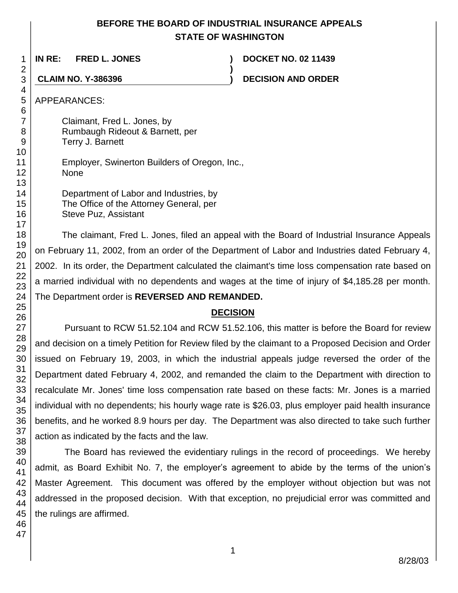## **BEFORE THE BOARD OF INDUSTRIAL INSURANCE APPEALS STATE OF WASHINGTON**

**)**

**IN RE: FRED L. JONES ) DOCKET NO. 02 11439**

**CLAIM NO. Y-386396 ) DECISION AND ORDER**

APPEARANCES:

Claimant, Fred L. Jones, by Rumbaugh Rideout & Barnett, per Terry J. Barnett

Employer, Swinerton Builders of Oregon, Inc., None

Department of Labor and Industries, by The Office of the Attorney General, per Steve Puz, Assistant

The claimant, Fred L. Jones, filed an appeal with the Board of Industrial Insurance Appeals on February 11, 2002, from an order of the Department of Labor and Industries dated February 4, 2002. In its order, the Department calculated the claimant's time loss compensation rate based on a married individual with no dependents and wages at the time of injury of \$4,185.28 per month. The Department order is **REVERSED AND REMANDED.**

# **DECISION**

Pursuant to RCW 51.52.104 and RCW 51.52.106, this matter is before the Board for review and decision on a timely Petition for Review filed by the claimant to a Proposed Decision and Order issued on February 19, 2003, in which the industrial appeals judge reversed the order of the Department dated February 4, 2002, and remanded the claim to the Department with direction to recalculate Mr. Jones' time loss compensation rate based on these facts: Mr. Jones is a married individual with no dependents; his hourly wage rate is \$26.03, plus employer paid health insurance benefits, and he worked 8.9 hours per day. The Department was also directed to take such further action as indicated by the facts and the law.

The Board has reviewed the evidentiary rulings in the record of proceedings. We hereby admit, as Board Exhibit No. 7, the employer's agreement to abide by the terms of the union's Master Agreement. This document was offered by the employer without objection but was not addressed in the proposed decision. With that exception, no prejudicial error was committed and the rulings are affirmed.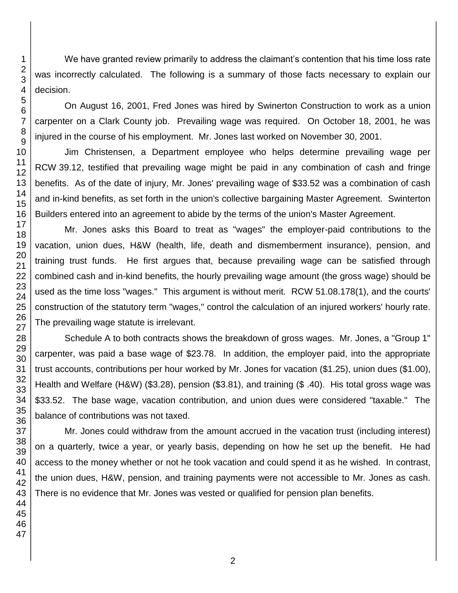We have granted review primarily to address the claimant's contention that his time loss rate was incorrectly calculated. The following is a summary of those facts necessary to explain our decision.

On August 16, 2001, Fred Jones was hired by Swinerton Construction to work as a union carpenter on a Clark County job. Prevailing wage was required. On October 18, 2001, he was injured in the course of his employment. Mr. Jones last worked on November 30, 2001.

Jim Christensen, a Department employee who helps determine prevailing wage per RCW 39.12, testified that prevailing wage might be paid in any combination of cash and fringe benefits. As of the date of injury, Mr. Jones' prevailing wage of \$33.52 was a combination of cash and in-kind benefits, as set forth in the union's collective bargaining Master Agreement. Swinterton Builders entered into an agreement to abide by the terms of the union's Master Agreement.

Mr. Jones asks this Board to treat as "wages" the employer-paid contributions to the vacation, union dues, H&W (health, life, death and dismemberment insurance), pension, and training trust funds. He first argues that, because prevailing wage can be satisfied through combined cash and in-kind benefits, the hourly prevailing wage amount (the gross wage) should be used as the time loss "wages." This argument is without merit. RCW 51.08.178(1), and the courts' construction of the statutory term "wages," control the calculation of an injured workers' hourly rate. The prevailing wage statute is irrelevant.

Schedule A to both contracts shows the breakdown of gross wages. Mr. Jones, a "Group 1" carpenter, was paid a base wage of \$23.78. In addition, the employer paid, into the appropriate trust accounts, contributions per hour worked by Mr. Jones for vacation (\$1.25), union dues (\$1.00), Health and Welfare (H&W) (\$3.28), pension (\$3.81), and training (\$ .40). His total gross wage was \$33.52. The base wage, vacation contribution, and union dues were considered "taxable." The balance of contributions was not taxed.

Mr. Jones could withdraw from the amount accrued in the vacation trust (including interest) on a quarterly, twice a year, or yearly basis, depending on how he set up the benefit. He had access to the money whether or not he took vacation and could spend it as he wished. In contrast, the union dues, H&W, pension, and training payments were not accessible to Mr. Jones as cash. There is no evidence that Mr. Jones was vested or qualified for pension plan benefits.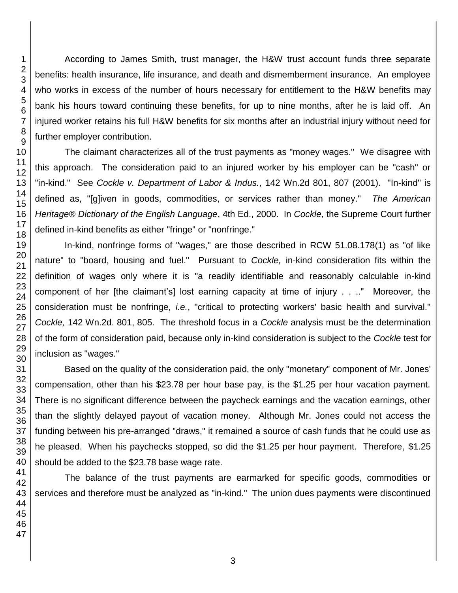According to James Smith, trust manager, the H&W trust account funds three separate benefits: health insurance, life insurance, and death and dismemberment insurance. An employee who works in excess of the number of hours necessary for entitlement to the H&W benefits may bank his hours toward continuing these benefits, for up to nine months, after he is laid off. An injured worker retains his full H&W benefits for six months after an industrial injury without need for further employer contribution.

The claimant characterizes all of the trust payments as "money wages." We disagree with this approach. The consideration paid to an injured worker by his employer can be "cash" or "in-kind." See *Cockle v. Department of Labor & Indus.*, 142 Wn.2d 801, 807 (2001). "In-kind" is defined as, "[g]iven in goods, commodities, or services rather than money." *The American Heritage® Dictionary of the English Language*, 4th Ed., 2000. In *Cockle*, the Supreme Court further defined in-kind benefits as either "fringe" or "nonfringe."

In-kind, nonfringe forms of "wages," are those described in RCW 51.08.178(1) as "of like nature" to "board, housing and fuel." Pursuant to *Cockle,* in-kind consideration fits within the definition of wages only where it is "a readily identifiable and reasonably calculable in-kind component of her [the claimant's] lost earning capacity at time of injury . . .." Moreover, the consideration must be nonfringe, *i.e.*, "critical to protecting workers' basic health and survival." *Cockle,* 142 Wn.2d. 801, 805. The threshold focus in a *Cockle* analysis must be the determination of the form of consideration paid, because only in-kind consideration is subject to the *Cockle* test for inclusion as "wages."

Based on the quality of the consideration paid, the only "monetary" component of Mr. Jones' compensation, other than his \$23.78 per hour base pay, is the \$1.25 per hour vacation payment. There is no significant difference between the paycheck earnings and the vacation earnings, other than the slightly delayed payout of vacation money. Although Mr. Jones could not access the funding between his pre-arranged "draws," it remained a source of cash funds that he could use as he pleased. When his paychecks stopped, so did the \$1.25 per hour payment. Therefore, \$1.25 should be added to the \$23.78 base wage rate.

The balance of the trust payments are earmarked for specific goods, commodities or services and therefore must be analyzed as "in-kind." The union dues payments were discontinued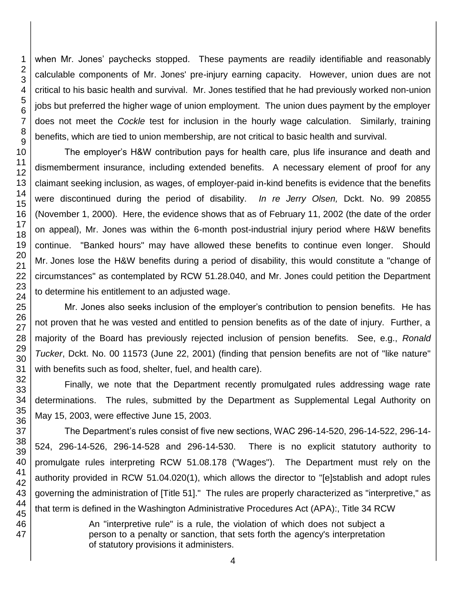when Mr. Jones' paychecks stopped. These payments are readily identifiable and reasonably calculable components of Mr. Jones' pre-injury earning capacity. However, union dues are not critical to his basic health and survival. Mr. Jones testified that he had previously worked non-union jobs but preferred the higher wage of union employment. The union dues payment by the employer does not meet the *Cockle* test for inclusion in the hourly wage calculation. Similarly, training benefits, which are tied to union membership, are not critical to basic health and survival.

The employer's H&W contribution pays for health care, plus life insurance and death and dismemberment insurance, including extended benefits. A necessary element of proof for any claimant seeking inclusion, as wages, of employer-paid in-kind benefits is evidence that the benefits were discontinued during the period of disability. *In re Jerry Olsen,* Dckt. No. 99 20855 (November 1, 2000). Here, the evidence shows that as of February 11, 2002 (the date of the order on appeal), Mr. Jones was within the 6-month post-industrial injury period where H&W benefits continue. "Banked hours" may have allowed these benefits to continue even longer. Should Mr. Jones lose the H&W benefits during a period of disability, this would constitute a "change of circumstances" as contemplated by RCW 51.28.040, and Mr. Jones could petition the Department to determine his entitlement to an adjusted wage.

Mr. Jones also seeks inclusion of the employer's contribution to pension benefits. He has not proven that he was vested and entitled to pension benefits as of the date of injury. Further, a majority of the Board has previously rejected inclusion of pension benefits. See, e.g., *Ronald Tucker*, Dckt. No. 00 11573 (June 22, 2001) (finding that pension benefits are not of "like nature" with benefits such as food, shelter, fuel, and health care).

Finally, we note that the Department recently promulgated rules addressing wage rate determinations. The rules, submitted by the Department as Supplemental Legal Authority on May 15, 2003, were effective June 15, 2003.

The Department's rules consist of five new sections, WAC 296-14-520, 296-14-522, 296-14- 524, 296-14-526, 296-14-528 and 296-14-530. There is no explicit statutory authority to promulgate rules interpreting RCW 51.08.178 ("Wages"). The Department must rely on the authority provided in RCW 51.04.020(1), which allows the director to "[e]stablish and adopt rules governing the administration of [Title 51]." The rules are properly characterized as "interpretive," as that term is defined in the Washington Administrative Procedures Act (APA):, Title 34 RCW

> An "interpretive rule" is a rule, the violation of which does not subject a person to a penalty or sanction, that sets forth the agency's interpretation of statutory provisions it administers.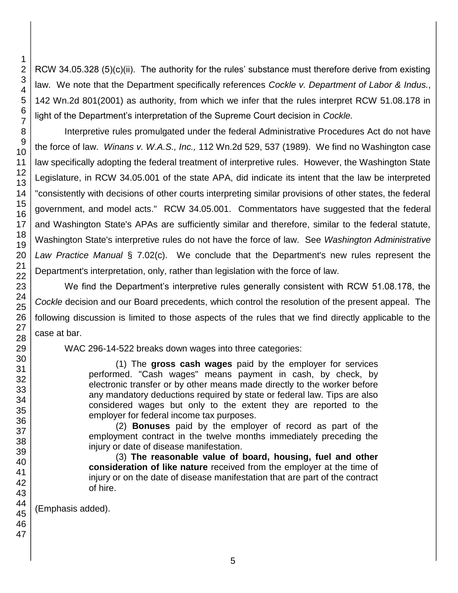RCW 34.05.328 (5)(c)(ii). The authority for the rules' substance must therefore derive from existing law. We note that the Department specifically references *Cockle v. Department of Labor & Indus.*, 142 Wn.2d 801(2001) as authority, from which we infer that the rules interpret RCW 51.08.178 in light of the Department's interpretation of the Supreme Court decision in *Cockle.*

Interpretive rules promulgated under the federal Administrative Procedures Act do not have the force of law. *Winans v. W.A.S., Inc.,* 112 Wn.2d 529, 537 (1989). We find no Washington case law specifically adopting the federal treatment of interpretive rules. However, the Washington State Legislature, in RCW 34.05.001 of the state APA, did indicate its intent that the law be interpreted "consistently with decisions of other courts interpreting similar provisions of other states, the federal government, and model acts." RCW 34.05.001. Commentators have suggested that the federal and Washington State's APAs are sufficiently similar and therefore, similar to the federal statute, Washington State's interpretive rules do not have the force of law. See *Washington Administrative Law Practice Manual* § 7.02(c). We conclude that the Department's new rules represent the Department's interpretation, only, rather than legislation with the force of law.

We find the Department's interpretive rules generally consistent with RCW 51.08.178, the *Cockle* decision and our Board precedents, which control the resolution of the present appeal. The following discussion is limited to those aspects of the rules that we find directly applicable to the case at bar.

WAC 296-14-522 breaks down wages into three categories:

(1) The **gross cash wages** paid by the employer for services performed. "Cash wages" means payment in cash, by check, by electronic transfer or by other means made directly to the worker before any mandatory deductions required by state or federal law. Tips are also considered wages but only to the extent they are reported to the employer for federal income tax purposes.

(2) **Bonuses** paid by the employer of record as part of the employment contract in the twelve months immediately preceding the injury or date of disease manifestation.

(3) **The reasonable value of board, housing, fuel and other consideration of like nature** received from the employer at the time of injury or on the date of disease manifestation that are part of the contract of hire.

(Emphasis added).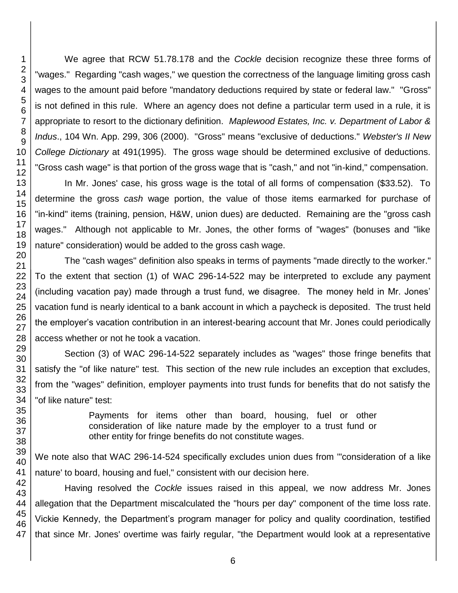We agree that RCW 51.78.178 and the *Cockle* decision recognize these three forms of "wages." Regarding "cash wages," we question the correctness of the language limiting gross cash wages to the amount paid before "mandatory deductions required by state or federal law." "Gross" is not defined in this rule. Where an agency does not define a particular term used in a rule, it is appropriate to resort to the dictionary definition. *Maplewood Estates, Inc. v. Department of Labor & Indus*., 104 Wn. App. 299, 306 (2000). "Gross" means "exclusive of deductions." *Webster's II New College Dictionary* at 491(1995). The gross wage should be determined exclusive of deductions. "Gross cash wage" is that portion of the gross wage that is "cash," and not "in-kind," compensation.

In Mr. Jones' case, his gross wage is the total of all forms of compensation (\$33.52). To determine the gross *cash* wage portion, the value of those items earmarked for purchase of "in-kind" items (training, pension, H&W, union dues) are deducted. Remaining are the "gross cash wages." Although not applicable to Mr. Jones, the other forms of "wages" (bonuses and "like nature" consideration) would be added to the gross cash wage.

The "cash wages" definition also speaks in terms of payments "made directly to the worker." To the extent that section (1) of WAC 296-14-522 may be interpreted to exclude any payment (including vacation pay) made through a trust fund, we disagree. The money held in Mr. Jones' vacation fund is nearly identical to a bank account in which a paycheck is deposited. The trust held the employer's vacation contribution in an interest-bearing account that Mr. Jones could periodically access whether or not he took a vacation.

Section (3) of WAC 296-14-522 separately includes as "wages" those fringe benefits that satisfy the "of like nature" test. This section of the new rule includes an exception that excludes, from the "wages" definition, employer payments into trust funds for benefits that do not satisfy the "of like nature" test:

> Payments for items other than board, housing, fuel or other consideration of like nature made by the employer to a trust fund or other entity for fringe benefits do not constitute wages.

We note also that WAC 296-14-524 specifically excludes union dues from '"consideration of a like nature' to board, housing and fuel," consistent with our decision here.

Having resolved the *Cockle* issues raised in this appeal, we now address Mr. Jones allegation that the Department miscalculated the "hours per day" component of the time loss rate. Vickie Kennedy, the Department's program manager for policy and quality coordination, testified that since Mr. Jones' overtime was fairly regular, "the Department would look at a representative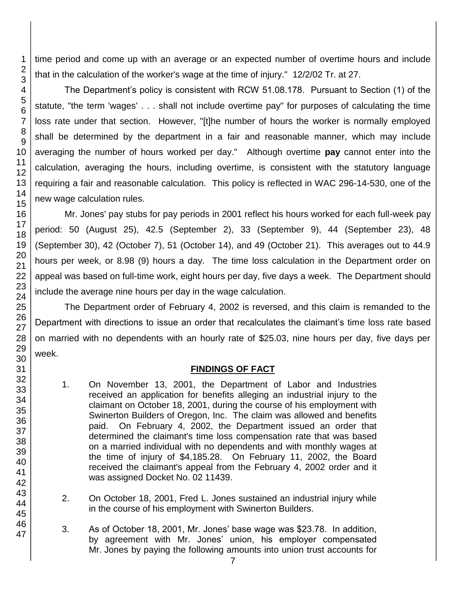time period and come up with an average or an expected number of overtime hours and include that in the calculation of the worker's wage at the time of injury." 12/2/02 Tr. at 27.

The Department's policy is consistent with RCW 51.08.178. Pursuant to Section (1) of the statute, "the term 'wages' . . . shall not include overtime pay" for purposes of calculating the time loss rate under that section. However, "[t]he number of hours the worker is normally employed shall be determined by the department in a fair and reasonable manner, which may include averaging the number of hours worked per day." Although overtime **pay** cannot enter into the calculation, averaging the hours, including overtime, is consistent with the statutory language requiring a fair and reasonable calculation. This policy is reflected in WAC 296-14-530, one of the new wage calculation rules.

Mr. Jones' pay stubs for pay periods in 2001 reflect his hours worked for each full-week pay period: 50 (August 25), 42.5 (September 2), 33 (September 9), 44 (September 23), 48 (September 30), 42 (October 7), 51 (October 14), and 49 (October 21). This averages out to 44.9 hours per week, or 8.98 (9) hours a day. The time loss calculation in the Department order on appeal was based on full-time work, eight hours per day, five days a week. The Department should include the average nine hours per day in the wage calculation.

The Department order of February 4, 2002 is reversed, and this claim is remanded to the Department with directions to issue an order that recalculates the claimant's time loss rate based on married with no dependents with an hourly rate of \$25.03, nine hours per day, five days per week.

## **FINDINGS OF FACT**

- 1. On November 13, 2001, the Department of Labor and Industries received an application for benefits alleging an industrial injury to the claimant on October 18, 2001, during the course of his employment with Swinerton Builders of Oregon, Inc. The claim was allowed and benefits paid. On February 4, 2002, the Department issued an order that determined the claimant's time loss compensation rate that was based on a married individual with no dependents and with monthly wages at the time of injury of \$4,185.28. On February 11, 2002, the Board received the claimant's appeal from the February 4, 2002 order and it was assigned Docket No. 02 11439.
- 2. On October 18, 2001, Fred L. Jones sustained an industrial injury while in the course of his employment with Swinerton Builders.
- 3. As of October 18, 2001, Mr. Jones' base wage was \$23.78. In addition, by agreement with Mr. Jones' union, his employer compensated Mr. Jones by paying the following amounts into union trust accounts for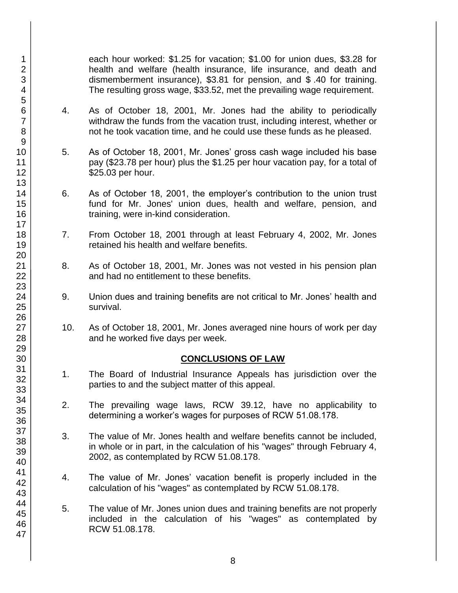each hour worked: \$1.25 for vacation; \$1.00 for union dues, \$3.28 for health and welfare (health insurance, life insurance, and death and dismemberment insurance), \$3.81 for pension, and \$ .40 for training. The resulting gross wage, \$33.52, met the prevailing wage requirement.

- 4. As of October 18, 2001, Mr. Jones had the ability to periodically withdraw the funds from the vacation trust, including interest, whether or not he took vacation time, and he could use these funds as he pleased.
- 5. As of October 18, 2001, Mr. Jones' gross cash wage included his base pay (\$23.78 per hour) plus the \$1.25 per hour vacation pay, for a total of \$25.03 per hour.
- 6. As of October 18, 2001, the employer's contribution to the union trust fund for Mr. Jones' union dues, health and welfare, pension, and training, were in-kind consideration.
- 7. From October 18, 2001 through at least February 4, 2002, Mr. Jones retained his health and welfare benefits.
- 8. As of October 18, 2001, Mr. Jones was not vested in his pension plan and had no entitlement to these benefits.
- 9. Union dues and training benefits are not critical to Mr. Jones' health and survival.
- 10. As of October 18, 2001, Mr. Jones averaged nine hours of work per day and he worked five days per week.

## **CONCLUSIONS OF LAW**

- 1. The Board of Industrial Insurance Appeals has jurisdiction over the parties to and the subject matter of this appeal.
- 2. The prevailing wage laws, RCW 39.12, have no applicability to determining a worker's wages for purposes of RCW 51.08.178.
- 3. The value of Mr. Jones health and welfare benefits cannot be included, in whole or in part, in the calculation of his "wages" through February 4, 2002, as contemplated by RCW 51.08.178.
- 4. The value of Mr. Jones' vacation benefit is properly included in the calculation of his "wages" as contemplated by RCW 51.08.178.
- 5. The value of Mr. Jones union dues and training benefits are not properly included in the calculation of his "wages" as contemplated by RCW 51.08.178.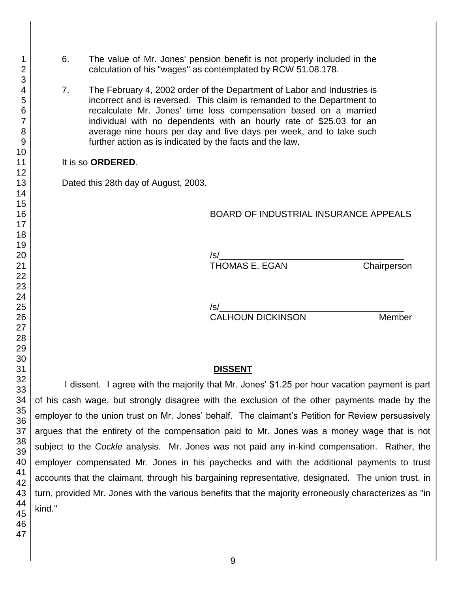- 6. The value of Mr. Jones' pension benefit is not properly included in the calculation of his "wages" as contemplated by RCW 51.08.178.
- 7. The February 4, 2002 order of the Department of Labor and Industries is incorrect and is reversed. This claim is remanded to the Department to recalculate Mr. Jones' time loss compensation based on a married individual with no dependents with an hourly rate of \$25.03 for an average nine hours per day and five days per week, and to take such further action as is indicated by the facts and the law.

#### It is so **ORDERED**.

Dated this 28th day of August, 2003.

# BOARD OF INDUSTRIAL INSURANCE APPEALS

/s/\_\_\_\_\_\_\_\_\_\_\_\_\_\_\_\_\_\_\_\_\_\_\_\_\_\_\_\_\_\_\_\_\_\_\_\_\_ THOMAS E. EGAN Chairperson

/s/\_\_\_\_\_\_\_\_\_\_\_\_\_\_\_\_\_\_\_\_\_\_\_\_\_\_\_\_\_\_\_\_\_\_\_\_\_ CALHOUN DICKINSON Member

## **DISSENT**

I dissent. I agree with the majority that Mr. Jones' \$1.25 per hour vacation payment is part of his cash wage, but strongly disagree with the exclusion of the other payments made by the employer to the union trust on Mr. Jones' behalf. The claimant's Petition for Review persuasively argues that the entirety of the compensation paid to Mr. Jones was a money wage that is not subject to the *Cockle* analysis. Mr. Jones was not paid any in-kind compensation. Rather, the employer compensated Mr. Jones in his paychecks and with the additional payments to trust accounts that the claimant, through his bargaining representative, designated. The union trust, in turn, provided Mr. Jones with the various benefits that the majority erroneously characterizes as "in kind."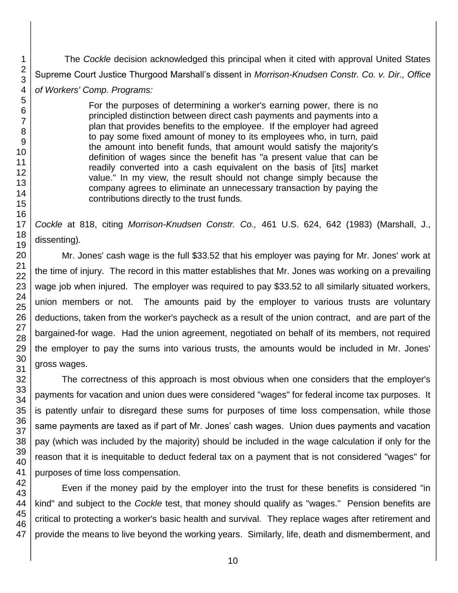The *Cockle* decision acknowledged this principal when it cited with approval United States Supreme Court Justice Thurgood Marshall's dissent in *Morrison-Knudsen Constr. Co. v. Dir., Office of Workers' Comp. Programs:*

> For the purposes of determining a worker's earning power, there is no principled distinction between direct cash payments and payments into a plan that provides benefits to the employee. If the employer had agreed to pay some fixed amount of money to its employees who, in turn, paid the amount into benefit funds, that amount would satisfy the majority's definition of wages since the benefit has "a present value that can be readily converted into a cash equivalent on the basis of [its] market value." In my view, the result should not change simply because the company agrees to eliminate an unnecessary transaction by paying the contributions directly to the trust funds.

*Cockle* at 818, citing *Morrison-Knudsen Constr. Co.,* 461 U.S. 624, 642 (1983) (Marshall, J., dissenting)*.*

Mr. Jones' cash wage is the full \$33.52 that his employer was paying for Mr. Jones' work at the time of injury. The record in this matter establishes that Mr. Jones was working on a prevailing wage job when injured. The employer was required to pay \$33.52 to all similarly situated workers, union members or not. The amounts paid by the employer to various trusts are voluntary deductions, taken from the worker's paycheck as a result of the union contract, and are part of the bargained-for wage. Had the union agreement, negotiated on behalf of its members, not required the employer to pay the sums into various trusts, the amounts would be included in Mr. Jones' gross wages.

The correctness of this approach is most obvious when one considers that the employer's payments for vacation and union dues were considered "wages" for federal income tax purposes. It is patently unfair to disregard these sums for purposes of time loss compensation, while those same payments are taxed as if part of Mr. Jones' cash wages. Union dues payments and vacation pay (which was included by the majority) should be included in the wage calculation if only for the reason that it is inequitable to deduct federal tax on a payment that is not considered "wages" for purposes of time loss compensation.

Even if the money paid by the employer into the trust for these benefits is considered "in kind" and subject to the *Cockle* test, that money should qualify as "wages." Pension benefits are critical to protecting a worker's basic health and survival. They replace wages after retirement and provide the means to live beyond the working years. Similarly, life, death and dismemberment, and